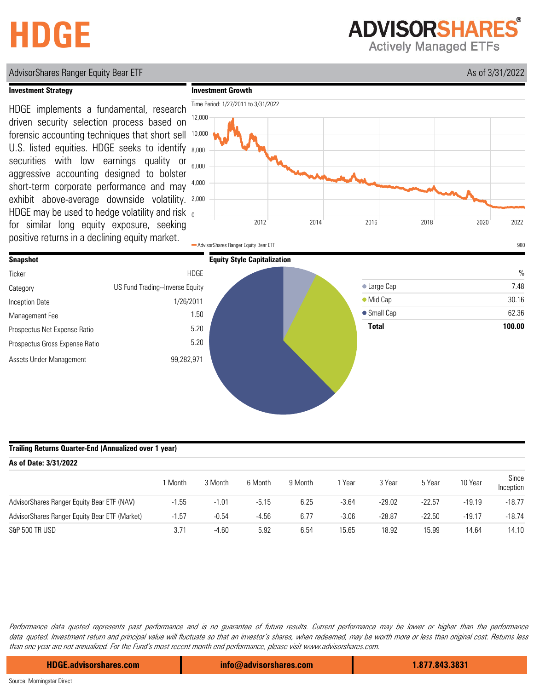# **HDGE**

**ADVISORSHARES** 

**Actively Managed ETFs** 

# AdvisorShares Ranger Equity Bear ETF As of 3/31/2022

### **Investment Strategy**

HDGE may be used to hedge volatility and risk  $_0$ exhibit above-average downside volatility. 2,000 HDGE implements a fundamental, research driven security selection process based on forensic accounting techniques that short sell U.S. listed equities. HDGE seeks to identify securities with low earnings quality or aggressive accounting designed to bolster short-term corporate performance and may for similar long equity exposure, seeking positive returns in a declining equity market.





### **Trailing Returns Quarter-End (Annualized over 1 year)**

| As of Date: 3/31/2022                         |         |         |         |         |         |          |          |          |                    |  |
|-----------------------------------------------|---------|---------|---------|---------|---------|----------|----------|----------|--------------------|--|
|                                               | Month   | 3 Month | 6 Month | 9 Month | , Year  | 3 Year   | 5 Year   | 10 Year  | Since<br>Inception |  |
| AdvisorShares Ranger Equity Bear ETF (NAV)    | $-1.55$ | $-1.01$ | $-5.15$ | 6.25    | $-3.64$ | $-29.02$ | $-22.57$ | $-19.19$ | $-18.77$           |  |
| AdvisorShares Ranger Equity Bear ETF (Market) | $-1.57$ | $-0.54$ | $-4.56$ | 6.77    | $-3.06$ | $-28.87$ | $-22.50$ | $-19.17$ | $-18.74$           |  |
| S&P 500 TR USD                                | 3.71    | $-4.60$ | 5.92    | 6.54    | 15.65   | 18.92    | 15.99    | 14.64    | 14.10              |  |

Performance data quoted represents past performance and is no guarantee of future results. Current performance may be lower or higher than the performance data quoted. Investment return and principal value will fluctuate so that an investor's shares, when redeemed, may be worth more or less than original cost. Returns less than one year are not annualized. For the Fund's most recent month end performance, please visit www.advisorshares.com.

**HDGE.advisorshares.com info@advisorshares.com 1.877.843.3831**